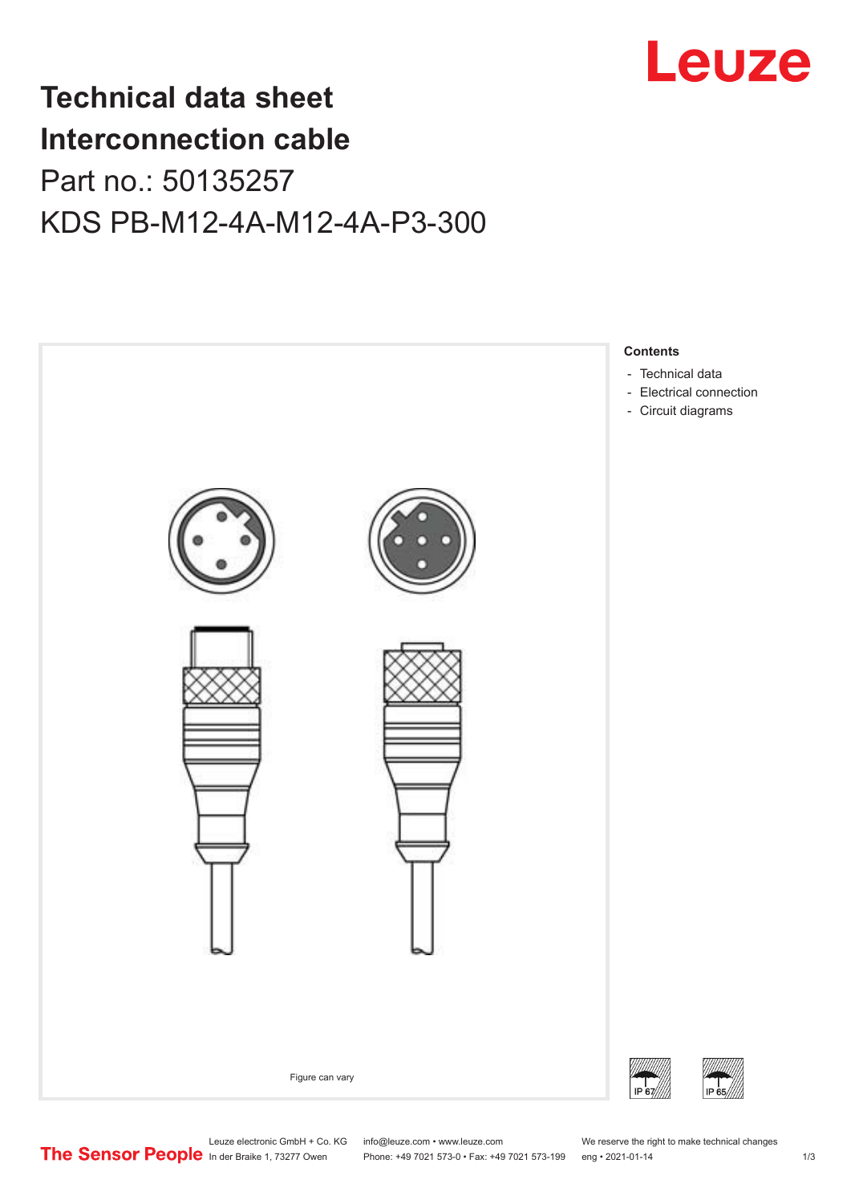

## **Technical data sheet Interconnection cable** Part no.: 50135257 KDS PB-M12-4A-M12-4A-P3-300



Leuze electronic GmbH + Co. KG info@leuze.com • www.leuze.com We reserve the right to make technical changes<br> **The Sensor People** in der Braike 1, 73277 Owen Phone: +49 7021 573-0 • Fax: +49 7021 573-199 eng • 2021-01-14

Phone: +49 7021 573-0 • Fax: +49 7021 573-199 eng • 2021-01-14 1 73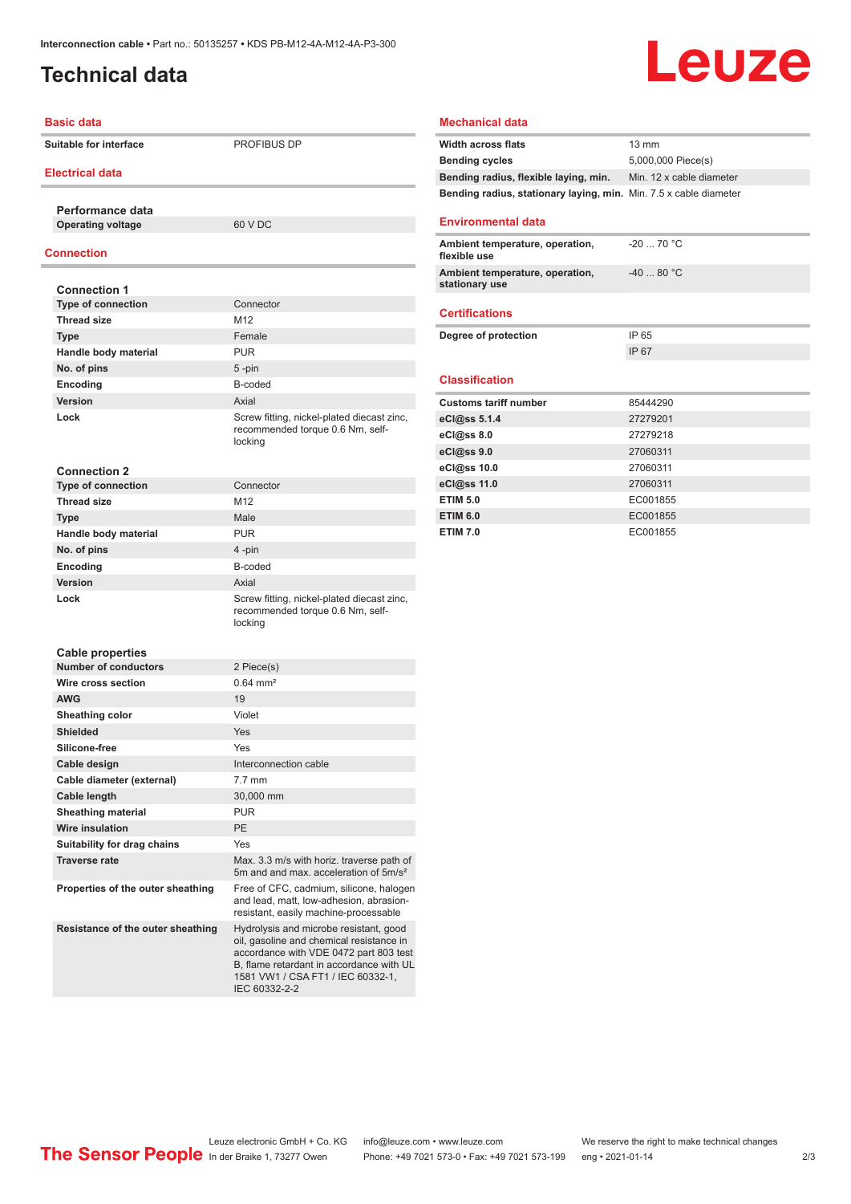## <span id="page-1-0"></span>**Technical data**

# Leuze

#### **Basic data**

**Suitable for interface PROFIBUS DP** 

#### **Electrical data**

**Performance data Operating voltage** 60 V DC

#### **Connection**

| <b>Connection 1</b>         |                                                                                           |
|-----------------------------|-------------------------------------------------------------------------------------------|
| <b>Type of connection</b>   | Connector                                                                                 |
| <b>Thread size</b>          | M <sub>12</sub>                                                                           |
| <b>Type</b>                 | Female                                                                                    |
| Handle body material        | <b>PUR</b>                                                                                |
| No. of pins                 | 5-pin                                                                                     |
| Encoding                    | B-coded                                                                                   |
| Version                     | Axial                                                                                     |
| Lock                        | Screw fitting, nickel-plated diecast zinc,<br>recommended torque 0.6 Nm, self-<br>locking |
| <b>Connection 2</b>         |                                                                                           |
| <b>Type of connection</b>   | Connector                                                                                 |
| <b>Thread size</b>          | M <sub>12</sub>                                                                           |
| <b>Type</b>                 | <b>Male</b>                                                                               |
| Handle body material        | <b>PUR</b>                                                                                |
| No. of pins                 | 4-pin                                                                                     |
| Encoding                    | B-coded                                                                                   |
| Version                     | Axial                                                                                     |
| Lock                        | Screw fitting, nickel-plated diecast zinc,<br>recommended torque 0.6 Nm, self-<br>locking |
| <b>Cable properties</b>     |                                                                                           |
| <b>Number of conductors</b> | 2 Piece(s)                                                                                |
| Wire cross section          | $0.64 \, \text{mm}^2$                                                                     |
| <b>AWG</b>                  | 19                                                                                        |
| Sheathing color             | Violet                                                                                    |
| <b>Shielded</b>             | Yes                                                                                       |
| Silicone-free               | Yes                                                                                       |

**Ambient temperature, operation, flexible use** -20 ... 70 °C **Ambient temperature, operation, stationary use** -40 ... 80 °C **Certifications Degree of protection** IP 65 IP 67 **Classification Customs tariff number** 85444290 **eCl@ss 5.1.4** 27279201 **eCl@ss 8.0** 27279218 **eCl@ss 9.0** 27060311 **eCl@ss 10.0** 27060311 **eCl@ss 11.0** 27060311 **ETIM 5.0** EC001855 **ETIM 6.0** EC001855 **ETIM 7.0** EC001855

**Mechanical data**

**Environmental data**

**Width across flats** 13 mm

**Bending cycles** 5,000,000 Piece(s) **Bending radius, flexible laying, min.** Min. 12 x cable diameter **Bending radius, stationary laying, min.** Min. 7.5 x cable diameter

| Number of conductors              | 2 Piece(s)                                                                                                                                                                                                                     |
|-----------------------------------|--------------------------------------------------------------------------------------------------------------------------------------------------------------------------------------------------------------------------------|
| Wire cross section                | $0.64$ mm <sup>2</sup>                                                                                                                                                                                                         |
| <b>AWG</b>                        | 19                                                                                                                                                                                                                             |
| Sheathing color                   | Violet                                                                                                                                                                                                                         |
| <b>Shielded</b>                   | Yes                                                                                                                                                                                                                            |
| Silicone-free                     | Yes                                                                                                                                                                                                                            |
| Cable design                      | Interconnection cable                                                                                                                                                                                                          |
| Cable diameter (external)         | $7.7$ mm                                                                                                                                                                                                                       |
| Cable length                      | 30,000 mm                                                                                                                                                                                                                      |
| <b>Sheathing material</b>         | <b>PUR</b>                                                                                                                                                                                                                     |
| <b>Wire insulation</b>            | <b>PE</b>                                                                                                                                                                                                                      |
| Suitability for drag chains       | Yes                                                                                                                                                                                                                            |
| <b>Traverse rate</b>              | Max. 3.3 m/s with horiz. traverse path of<br>5m and and max. acceleration of 5m/s <sup>2</sup>                                                                                                                                 |
| Properties of the outer sheathing | Free of CFC, cadmium, silicone, halogen<br>and lead, matt, low-adhesion, abrasion-<br>resistant, easily machine-processable                                                                                                    |
| Resistance of the outer sheathing | Hydrolysis and microbe resistant, good<br>oil, gasoline and chemical resistance in<br>accordance with VDE 0472 part 803 test<br>B, flame retardant in accordance with UL<br>1581 VW1 / CSA FT1 / IEC 60332-1,<br>IEC 60332-2-2 |